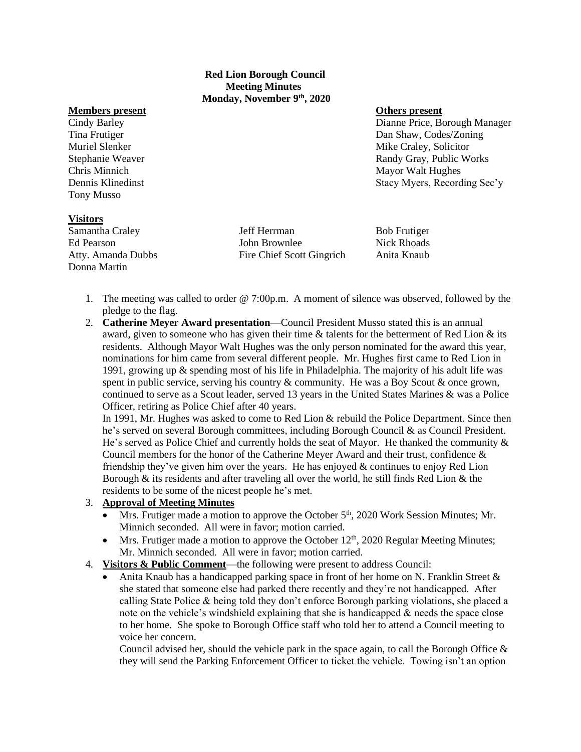### **Red Lion Borough Council Meeting Minutes Monday, November 9th, 2020**

#### **Members present Others present**

Tony Musso

Cindy Barley Dianne Price, Borough Manager Tina Frutiger Dan Shaw, Codes/Zoning Muriel Slenker Mike Craley, Solicitor Mike Craley, Solicitor Stephanie Weaver **Randy Gray, Public Works** Randy Gray, Public Works Chris Minnich Mayor Walt Hughes Dennis Klinedinst Stacy Myers, Recording Sec'y

#### **Visitors**

Donna Martin

Samantha Craley **3.1 Institute 3.1 Institute 3.1 Institute 3.1 Institute 3.1 Institute 3.1 Institute 3.1 Institute 3.1 Institute 3.1 Institute 3.1 Institute 3.1 Institute 3.1 Institute 3.1 Institute 3.1 Institute 3.1 Insti** Ed Pearson John Brownlee Nick Rhoads Atty. Amanda Dubbs Fire Chief Scott Gingrich Anita Knaub

- 1. The meeting was called to order @ 7:00p.m. A moment of silence was observed, followed by the pledge to the flag.
- 2. **Catherine Meyer Award presentation**—Council President Musso stated this is an annual award, given to someone who has given their time  $\&$  talents for the betterment of Red Lion  $\&$  its residents. Although Mayor Walt Hughes was the only person nominated for the award this year, nominations for him came from several different people. Mr. Hughes first came to Red Lion in 1991, growing up & spending most of his life in Philadelphia. The majority of his adult life was spent in public service, serving his country  $\&$  community. He was a Boy Scout  $\&$  once grown, continued to serve as a Scout leader, served 13 years in the United States Marines & was a Police Officer, retiring as Police Chief after 40 years.

In 1991, Mr. Hughes was asked to come to Red Lion & rebuild the Police Department. Since then he's served on several Borough committees, including Borough Council & as Council President. He's served as Police Chief and currently holds the seat of Mayor. He thanked the community & Council members for the honor of the Catherine Meyer Award and their trust, confidence & friendship they've given him over the years. He has enjoyed & continues to enjoy Red Lion Borough  $\&$  its residents and after traveling all over the world, he still finds Red Lion  $\&$  the residents to be some of the nicest people he's met.

## 3. **Approval of Meeting Minutes**

- Mrs. Frutiger made a motion to approve the October 5<sup>th</sup>, 2020 Work Session Minutes; Mr. Minnich seconded. All were in favor; motion carried.
- Mrs. Frutiger made a motion to approve the October  $12<sup>th</sup>$ , 2020 Regular Meeting Minutes; Mr. Minnich seconded. All were in favor; motion carried.
- 4. **Visitors & Public Comment**—the following were present to address Council:
	- Anita Knaub has a handicapped parking space in front of her home on N. Franklin Street  $\&$ she stated that someone else had parked there recently and they're not handicapped. After calling State Police & being told they don't enforce Borough parking violations, she placed a note on the vehicle's windshield explaining that she is handicapped & needs the space close to her home. She spoke to Borough Office staff who told her to attend a Council meeting to voice her concern.

Council advised her, should the vehicle park in the space again, to call the Borough Office  $\&$ they will send the Parking Enforcement Officer to ticket the vehicle. Towing isn't an option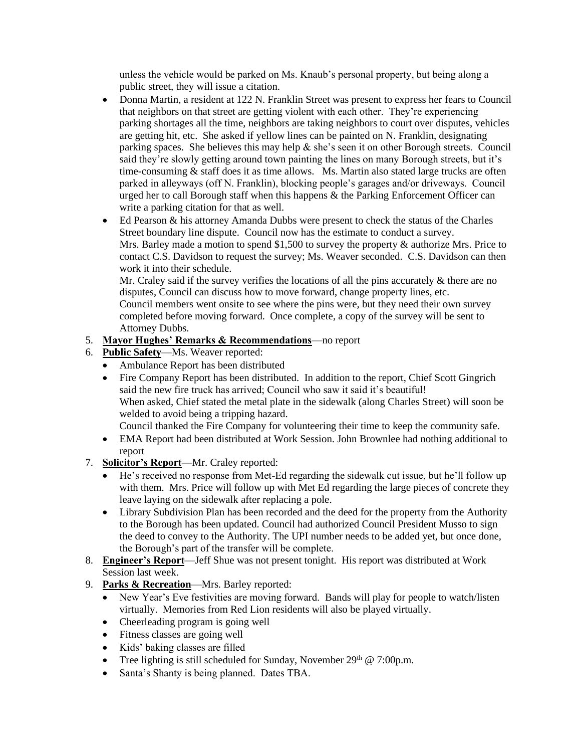unless the vehicle would be parked on Ms. Knaub's personal property, but being along a public street, they will issue a citation.

- Donna Martin, a resident at 122 N. Franklin Street was present to express her fears to Council that neighbors on that street are getting violent with each other. They're experiencing parking shortages all the time, neighbors are taking neighbors to court over disputes, vehicles are getting hit, etc. She asked if yellow lines can be painted on N. Franklin, designating parking spaces. She believes this may help & she's seen it on other Borough streets. Council said they're slowly getting around town painting the lines on many Borough streets, but it's time-consuming  $&$  staff does it as time allows. Ms. Martin also stated large trucks are often parked in alleyways (off N. Franklin), blocking people's garages and/or driveways. Council urged her to call Borough staff when this happens  $\&$  the Parking Enforcement Officer can write a parking citation for that as well.
- Ed Pearson & his attorney Amanda Dubbs were present to check the status of the Charles Street boundary line dispute. Council now has the estimate to conduct a survey. Mrs. Barley made a motion to spend \$1,500 to survey the property & authorize Mrs. Price to contact C.S. Davidson to request the survey; Ms. Weaver seconded. C.S. Davidson can then work it into their schedule.

Mr. Craley said if the survey verifies the locations of all the pins accurately  $\&$  there are no disputes, Council can discuss how to move forward, change property lines, etc. Council members went onsite to see where the pins were, but they need their own survey completed before moving forward. Once complete, a copy of the survey will be sent to Attorney Dubbs.

# 5. **Mayor Hughes' Remarks & Recommendations**—no report

- 6. **Public Safety**—Ms. Weaver reported:
	- Ambulance Report has been distributed
	- Fire Company Report has been distributed. In addition to the report, Chief Scott Gingrich said the new fire truck has arrived; Council who saw it said it's beautiful! When asked, Chief stated the metal plate in the sidewalk (along Charles Street) will soon be welded to avoid being a tripping hazard.

Council thanked the Fire Company for volunteering their time to keep the community safe.

- EMA Report had been distributed at Work Session. John Brownlee had nothing additional to report
- 7. **Solicitor's Report**—Mr. Craley reported:
	- He's received no response from Met-Ed regarding the sidewalk cut issue, but he'll follow up with them. Mrs. Price will follow up with Met Ed regarding the large pieces of concrete they leave laying on the sidewalk after replacing a pole.
	- Library Subdivision Plan has been recorded and the deed for the property from the Authority to the Borough has been updated. Council had authorized Council President Musso to sign the deed to convey to the Authority. The UPI number needs to be added yet, but once done, the Borough's part of the transfer will be complete.
- 8. **Engineer's Report**—Jeff Shue was not present tonight. His report was distributed at Work Session last week.
- 9. **Parks & Recreation**—Mrs. Barley reported:
	- New Year's Eve festivities are moving forward. Bands will play for people to watch/listen virtually. Memories from Red Lion residents will also be played virtually.
	- Cheerleading program is going well
	- Fitness classes are going well
	- Kids' baking classes are filled
	- Tree lighting is still scheduled for Sunday, November  $29<sup>th</sup> @ 7:00p.m.$
	- Santa's Shanty is being planned. Dates TBA.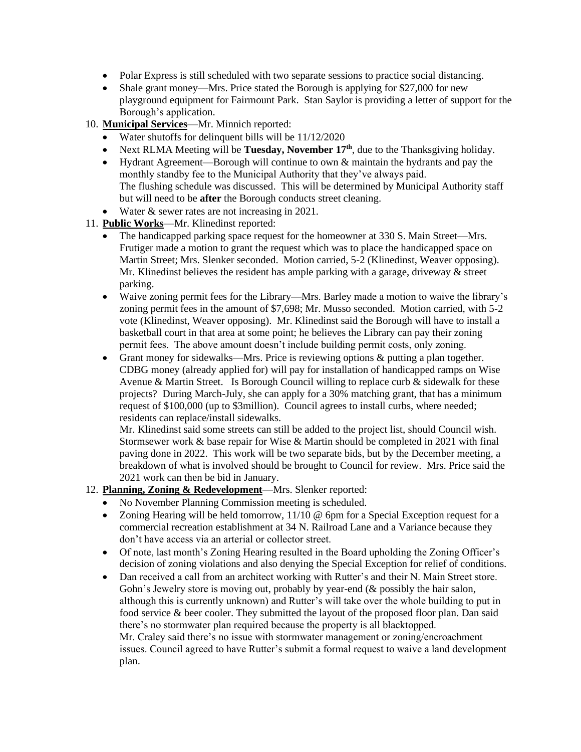- Polar Express is still scheduled with two separate sessions to practice social distancing.
- Shale grant money—Mrs. Price stated the Borough is applying for \$27,000 for new playground equipment for Fairmount Park. Stan Saylor is providing a letter of support for the Borough's application.
- 10. **Municipal Services**—Mr. Minnich reported:
	- Water shutoffs for delinquent bills will be  $11/12/2020$
	- Next RLMA Meeting will be **Tuesday, November 17th**, due to the Thanksgiving holiday.
	- Hydrant Agreement—Borough will continue to own & maintain the hydrants and pay the monthly standby fee to the Municipal Authority that they've always paid. The flushing schedule was discussed. This will be determined by Municipal Authority staff but will need to be **after** the Borough conducts street cleaning.
	- Water & sewer rates are not increasing in 2021.
- 11. **Public Works**—Mr. Klinedinst reported:
	- The handicapped parking space request for the homeowner at 330 S. Main Street—Mrs. Frutiger made a motion to grant the request which was to place the handicapped space on Martin Street; Mrs. Slenker seconded. Motion carried, 5-2 (Klinedinst, Weaver opposing). Mr. Klinedinst believes the resident has ample parking with a garage, driveway  $\&$  street parking.
	- Waive zoning permit fees for the Library—Mrs. Barley made a motion to waive the library's zoning permit fees in the amount of \$7,698; Mr. Musso seconded. Motion carried, with 5-2 vote (Klinedinst, Weaver opposing). Mr. Klinedinst said the Borough will have to install a basketball court in that area at some point; he believes the Library can pay their zoning permit fees. The above amount doesn't include building permit costs, only zoning.
	- Grant money for sidewalks—Mrs. Price is reviewing options & putting a plan together. CDBG money (already applied for) will pay for installation of handicapped ramps on Wise Avenue & Martin Street. Is Borough Council willing to replace curb  $\&$  sidewalk for these projects? During March-July, she can apply for a 30% matching grant, that has a minimum request of \$100,000 (up to \$3million). Council agrees to install curbs, where needed; residents can replace/install sidewalks.

Mr. Klinedinst said some streets can still be added to the project list, should Council wish. Stormsewer work & base repair for Wise & Martin should be completed in 2021 with final paving done in 2022. This work will be two separate bids, but by the December meeting, a breakdown of what is involved should be brought to Council for review. Mrs. Price said the 2021 work can then be bid in January.

- 12. **Planning, Zoning & Redevelopment**—Mrs. Slenker reported:
	- No November Planning Commission meeting is scheduled.
	- Zoning Hearing will be held tomorrow,  $11/10 \omega$  6pm for a Special Exception request for a commercial recreation establishment at 34 N. Railroad Lane and a Variance because they don't have access via an arterial or collector street.
	- Of note, last month's Zoning Hearing resulted in the Board upholding the Zoning Officer's decision of zoning violations and also denying the Special Exception for relief of conditions.
	- Dan received a call from an architect working with Rutter's and their N. Main Street store. Gohn's Jewelry store is moving out, probably by year-end ( $&$  possibly the hair salon, although this is currently unknown) and Rutter's will take over the whole building to put in food service & beer cooler. They submitted the layout of the proposed floor plan. Dan said there's no stormwater plan required because the property is all blacktopped. Mr. Craley said there's no issue with stormwater management or zoning/encroachment issues. Council agreed to have Rutter's submit a formal request to waive a land development plan.